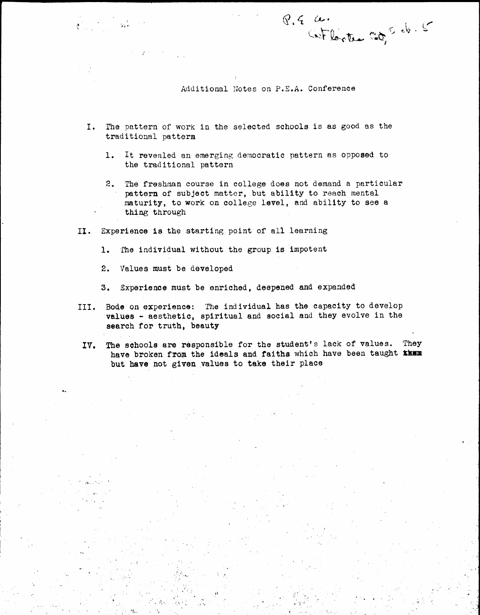Additional Notes on P.E.A. Conference

 $8.4 \times$ 

Cetlortes Cot eb. 5

- I. The pattern of work in the selected schools is as good as the traditional pattern
	- 1. It revealed an emerging democratic pattern as opposed to the traditional pattern
	- 2. The freshman course in college does not demand a particular pattern of subject matter, but ability to reach mental maturity, to work on college level, and ability to see a thing through
- II. Experience 1s the starting point of all learning

 $\cdot$  .

- 1. 'fhe individual without the group is impotent
- 2. Values must be developed

,..  $\ddot{\phantom{0}}$ 

 $\mathbf{x}_i$  ,  $\mathbf{r}_i$ 

- 3. Experience must be enriched, deepened and expanded
- III. Bode on experience: The individual has the capacity to develop values - aesthetic, spiritual and social and they evolve in the search for truth, beauty
- IV. The schools are responsible for the student's lack of values. They have broken from the ideals and faiths which have been taught them but have not given values to take their place

......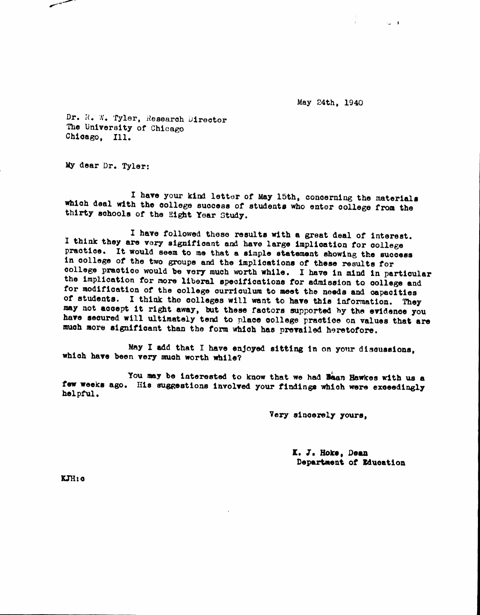May 24th, 1940

 $\sim$   $+$ 

Dr. R. W. Tyler, Research Director The University of Chicago Chicago. Ill.

My dear Dr. Tyler:

I have your kind letter of May 15th, concerning the materials which deal with the college success of students who enter college from the thirty schools of the Eight Year Study.

I have followed these results with a great deal of interest. I think they are very significant and have large implication for college practice. It would seem to me that a simple statement showing the success in college of the two groups and the implications of these results for college practice would be very much worth while. I have in mind in particular the implication for more liberal specifications for admission to college and for modification of the college curriculum to meet the needs and capacities of students. I think the colleges will want to have this information. They may not accept it right away, but these factors supported by the evidence you have secured will ultimately tend to place college practice on values that are much more significant than the form which has prevailed heretofore.

May I add that I have enjoyed sitting in on your discussions, which have been very much worth while?

You may be interested to know that we had Baan Hawkes with us a few weeks ago. His suggestions involved your findings which were exceedingly helpful.

Very sincerely yours,

K. J. Hoke, Dean Department of Education

 $KJH:$   $\alpha$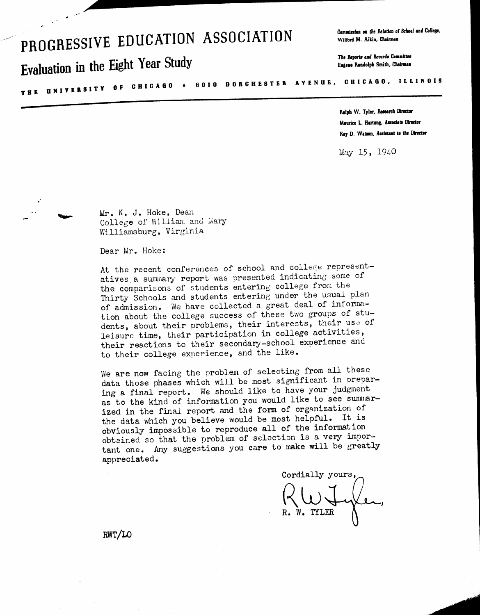# PROGRESSIVE EDUCATION ASSOCIATION

# Evaluation in the Eight Year Study

Commission on the Relation of School and College, Wilford M. Aikin, Chairman

The Reports and Records Committee Eugene Randolph Smith, Chairman

THE UNIVERSITY OF CHICAGO . 6010 DORCHESTER AVENUE, CHICAGO, ILLINOIS

Ralph W. Tyler, Research Director Maurice L. Hartung, Associate Director Kay D. Watson, Assistant to the Director

May 15, 1940

Mr. K. J. Hoke, Dean College of William and Mary Williamsburg, Virginia

Dear Mr. Hoke:

At the recent conferences of school and college representatives a summary report was presented indicating some of the comparisons of students entering college from the Thirty Schools and students entering under the usual plan of admission. We have collected a great deal of information about the college success of these two groups of students, about their problems, their interests, their use of leisure time, their participation in college activities, their reactions to their secondary-school experience and to their college experience, and the like.

We are now facing the problem of selecting from all these data those phases which will be most significant in preparing a final report. We should like to have your judgment as to the kind of information you would like to see summarized in the final report and the form of organization of the data which you believe would be most helpful. It is obviously impossible to reproduce all of the information obtained so that the problem of selection is a very important one. Any suggestions you care to make will be greatly appreciated.

Cordially yours, W. TYLER

RWT/LO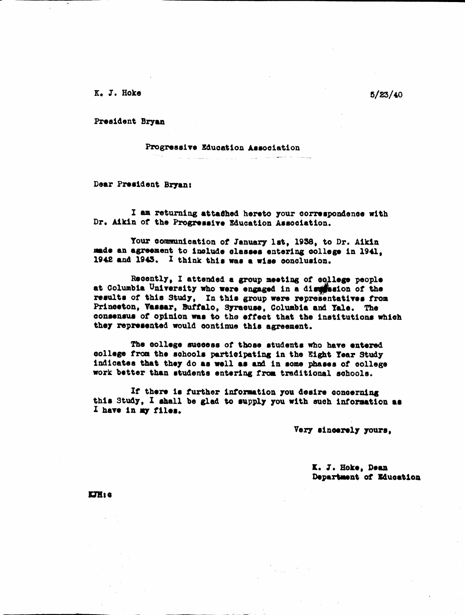K. J. Hoke

President Bryan

Progressive Education Association

Dear President Bryan:

I am returning attached hereto your correspondence with Dr. Aikin of the Progressive Education Association.

and the second complex and control of the process of the second construction of the construction of the complex of the second construction of the construction of the construction of the construction of the construction of

Your communication of January 1st, 1938, to Dr. Aikin made an agreement to include classes entering college in 1941, 1942 and 1945. I think this was a wise conclusion.

Recently, I attended a group meeting of college people at Columbia University who were engaged in a dischasion of the results of this Study, In this group were representatives from Princeton, Vassar, Buffalo, Syracuse, Columbia and Yale. The consensus of opinion was to the effect that the institutions which they represented would continue this agreement.

The college success of those students who have entered college from the schools participating in the Eight Year Study indicates that they do as well as and in some phases of college work better than students entering from traditional schools.

If there is further information you desire concerning this Study, I shall be glad to supply you with such information as I have in my files.

Very sincerely yours,

K. J. Hoke, Dean Department of Education

**ETH: G** 

 $5/23/40$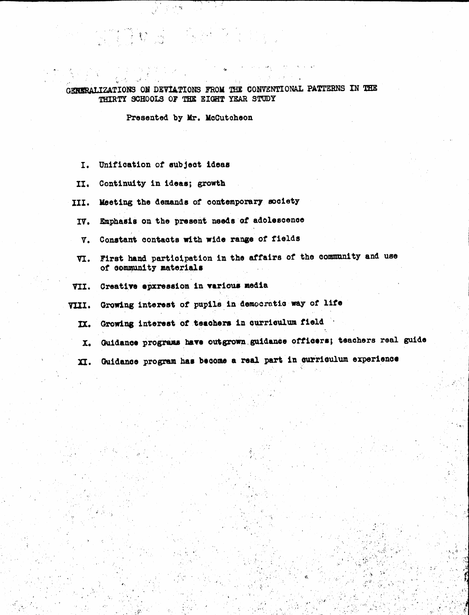### GENERALIZATIONS ON DEVIATIONS FROM THE CONVENTIONAL PATTERNS IN THE THIRTY SCHOOLS OF THE EIGHT YEAR STUDY

Presented by Mr. McCutcheon

्र संबं

"我们的。"

- $I<sub>1</sub>$ Unification of subject ideas
- II. Continuity in ideas; growth
- Meeting the demands of contemporary society III.
- Emphasis on the present needs of adolescence IV.
- Constant contacts with wide range of fields v.
- First hand participation in the affairs of the community and use VI. of community materials
- Creative epxression in various media VII.
- Growing interest of pupils in democratic way of life VIII.
	- Growing interest of teachers in curriculum field IX.
	- Guidance programs have outgrown guidance officers; teachers real guide  $\mathbf{x}$ .
	- Guidance program has become a real part in curriculum experience п.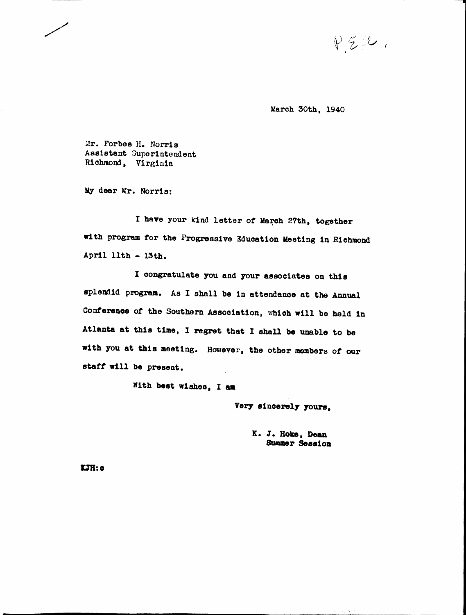$P\text{Z}/P$ 

March 30th, 1940

Mr. Forbes H. Norris Assistant Superintendent Richmond, Virginia

My dear Mr. Norris:

I have your kind letter of March 27th, together with program tor the Progressive Education Meeting in Richmond April 11th - 13th.

I oongratulate you and your associates on this splendid program. As I shall be in attendance at the Annual Conference of the Southern Association, which will be held in Atlanta at this time, I regret that I shall be unable to be with you at this meeting. However, the other members of our atatt wl11 be present.

With best wishes, I am

Very sincerely yours,

K. J. Hoke, Dean Summer Session

J:JlI:o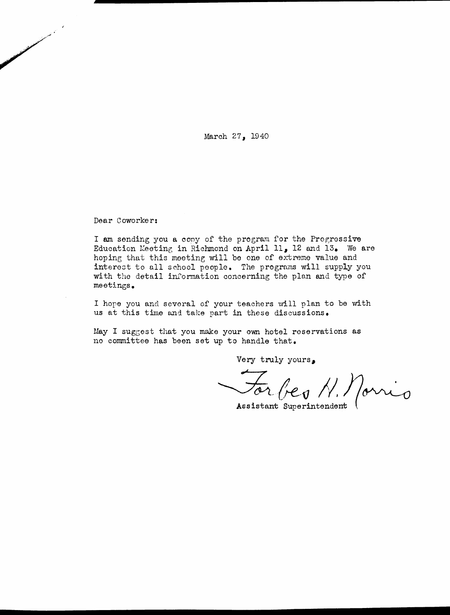March 27, 1940

Dear Coworker:

and a fact of the contract of the contract of the contract of the contract of the contract of the contract of <br>Similar the contract of the contract of the contract of the contract of the contract of the contract of the co

I am sending you a copy of the program for the Progressive Education Meeting in Richmond on April 11, 12 and 13. We are hoping that this meeting will be one of extreme value and intereot to all school people. The programs will supply you with the detail information concerning the plan and type of meetings.

I hope you and several of your teachers will plan to be with us at this time and take part in these discussions.

May I suggest that you make your own hotel roservations as no committee has been set up to handle that.

Very truly yours.

 $\sqrt{a_1}$ *N.*)<br>Porn

Assistant Superintendent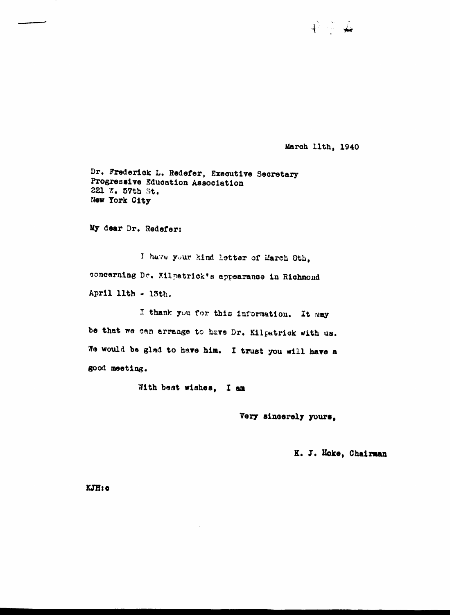March llth, 1940

 $\hat{\mathcal{V}} \subseteq \hat{\mathcal{A}}$ 

Dr. Frederick L. Redefer, Executive Secretary Progressive Education Association 221 W. 57th St. New York City

My dear Dr. Redefer:

I have your kind letter of March Sth, concerning Dr. Kilpatrick's appearance in Richmond April 11th - 13th.

I thank you for this information. It may be that we can arrange to have Dr. Kilpatrick with us. We would be glad to have him. I trust you will have a good meeting.

With best wishes, I am

Very sincerely yours,

K. J. Hoke, Chairman

KJH:c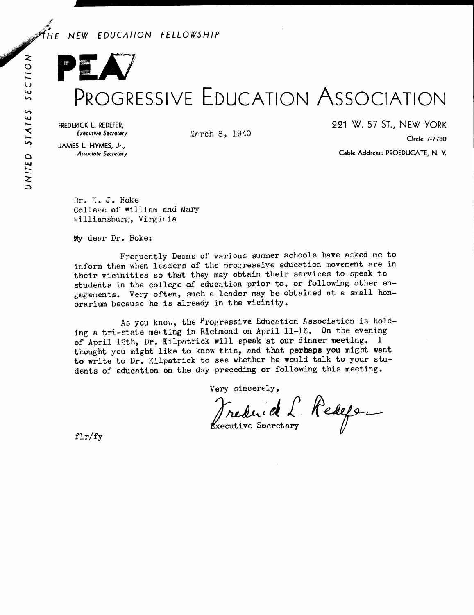# NEW EDUCATION FELLOWSHIP

# PROGRESSIVE EDUCATION ASSOCIATION

FREDERICK L. REDEFER, **Executive Secretary** 

JAMES L. HYMES, Jr., Associate Secretary 221 W. 57 ST., NEW YORK

Circle 7-7780

Cable Address: PROEDUCATE, N.Y.

Dr. K. J. Hoke College of william and Mary Williamsburg, Virginia

My dear Dr. Hoke:

Frequently Deans of various summer schools have asked me to inform them when leaders of the progressive education movement are in their vicinities so that they may obtain their services to speak to students in the college of education prior to, or following other engagements. Very often, such a leader may be obtained at a small honorarium because he is already in the vicinity.

March 8, 1940

As you know, the Progressive Education Association is holding a tri-state meeting in Richmond on April 11-13. On the evening of April 12th, Dr. Kilpatrick will speak at our dinner meeting. I thought you might like to know this, and that perhaps you might want to write to Dr. Kilpatrick to see whether he would talk to your students of education on the day preceding or following this meeting.

Very sincerely,

Frederick L. Redese

 $f l r / f y$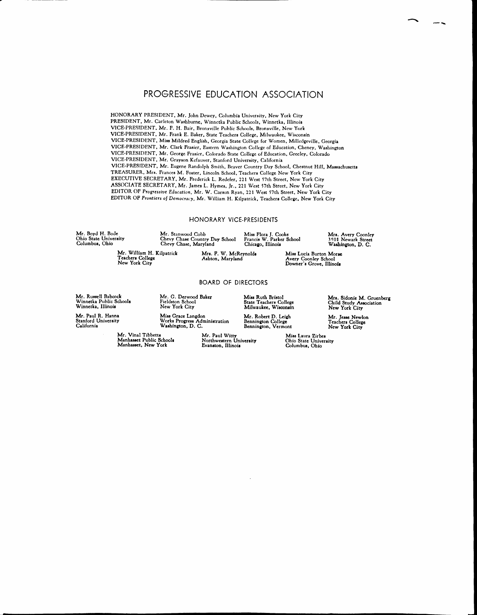## PROGRESSIVE EDUCATION ASSOCIATION

HONORARY PRESIDENT. Mr. John Dewey. Columbia University. New York City PRESIDENT. Mr. Carleton Washburne. Winnetka Public Schools. Winnetka. Illinois VICE,PRESIDENT. Mr. P. H. Bair, Bronxville Public Schools, Bronxville, New York VICE,PRESIDENT. Mr. Frank E. Baker. State Teachers College. Milwaukee, Wisconsin VICE,PRESIDENT, Miss Mildred English. Georgia State College for Women. Milledgeville. Georgia VICE,PRESIDENT. Mr. Clark Frasier. Eastern Washington College of Education, Cheney, Washington VICE,PRESIDENT. Mr. George Frasicr , Colorado State College of Education, Greeley. Colorado VICE,PRESIDENT, Mr. Grayson Kefauver. Stanford University. California VICE,PRESIDENT, Mr. Eugene Randolph Smith, Beaver Country Day School, Chestnut Hill. Massachusetts TREASURER, Mrs. Frances M. Foster, Lincoln School. Teachers College New York City EXECUTIVE SECRETARY, Mr. Frederick L. Redefer, 221 West 57th Street, New York City ASSOCIATE SECRETARY. Mr. James L. Hymes, Jr .• 221 West 57th Street, New York City EDITOR OF Progressive *Education,* Mr. W. Carson Ryan, 221 West 57th Street. New York City EDITOR OF *FTontiers of Democracy,* Mr. William H. Kilpatrick. Teachers College, New York City

### HONORARY VICE-PRESIDENTS

Mrs. F. W. McReynol<br>Ashton, Maryland

Mr. Boyd H. Bode Ohio State University Columbus. Ohio

Mr. Stanwood Cobb Chevy Chase Country Day Schoo<br>Chevy Chase, Maryland Miss Flora J. Cooke<br>Francis W. Parker Schoo<br>Chicago, Illinois

Mrs. Avery Coonley<br>3501 Newark Street<br>Washington, D. C.

Miaa Lucia Burton Morae Avery Coonley School<br>Downer's Grove, Illinoi

#### BOARD OF DIRECTORS

Mr. Russell Babcock Winnetka Public School<br>Winnetka, Illinois

Mr. Paul R. Hanna Stanford University California

Manhasset Public School. Manbaesee, New York

Mr. William H. Kilpatrick Teachers College New York City

> Mr. G. Derwood Baker Fieldeton School New York City Miss Grace Langdon

Mr. Robert D. Leigh Bennington College<br>Bennington, Vermor

Miss Ruth Bristol<br>State Teachers Colleg<br>Milwaukee, Wisconsi

Miaa Laura Zirbea Ohio State University Columbus. Ohio

Mrs. Sidonie M. Gruenber<br>Child Study Association<br>New York City

 $\sim$ 

Mr. Jesse Newlo<br>Teachers College<br>New York City

Mr. Vinal Tibbetts

Works Progress Administrati<br>Washington, D. C. Mr. Paul Witt<del>y</del><br>Northwestern Universit<br>Evanston, Illinois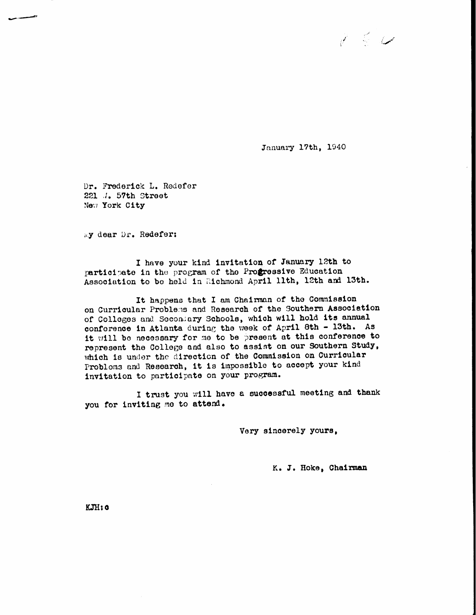

January 17th, 1940

Dr. Frederick L. Redefer 221 J. 57th Street New York City

wy dear Dr. Redefer:

I have your kind invitation of January 12th to participate in the program of the Progressive Education Association to be held in Richmond April 11th, 12th and 13th.

It happens that I am Chairman of the Commission on Curricular Problems and Research of the Southern Association of Colleges and Secondary Schools, which will hold its annual conforence in Atlanta during the week of April 8th - 13th. As it will be necessary for me to be present at this conference to represent the College and also to assist on our Southern Study, which is under the direction of the Commission on Curricular Problems and Research, it is impossible to accept your kind invitation to participate on your program.

I trust you will have a successful meeting and thank you for inviting me to attend.

Very sincerely yours,

K. J. Hoke, Chairman

KJH: 0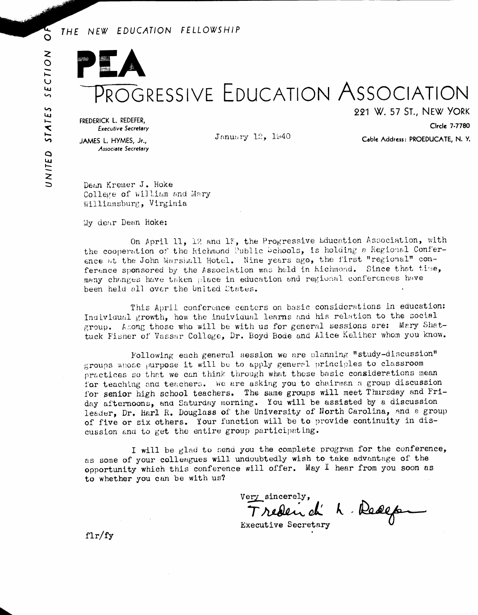### THE NEW EDUCATION FELLOWSHIP

# PROGRESSIVE EDUCATION ASSOCIATION

FREDERICK L. REDEFER, **Executive Secretary** 

January 12, 1940

221 W. 57 ST., NEW YORK Circle 7-7780

JAMES L. HYMES, Jr., **Associate Secretary** 

Cable Address: PROEDUCATE, N.Y.

Dean Kremer J. Hoke College of William and Mary Williamsburg, Virginia

My dear Dean Hoke:

On April 11, 12 and 13, the Progressive Education Association, with the cooperation of the Richmond Public Dehools, is holding a Regional Conference at the John Marshall Hotel. Nine years ago, the first "regional" conference sponsored by the Association was held in kichmond. Since that time, many changes have taken place in education and regional conferences have been held all over the United States.

This April conference centers on basic considerations in education: Individual growth, how the individual learns and his relation to the social group. Among those who will be with us for general sessions are: Mary Shattuck Fisher of Vassar College, Dr. Boyd Bode and Alice Keliher whom you know.

Following each general session we are planning "study-discussion" groups whose purpose it will be to apply general principles to classroom practices so that we can think through what these basic considerations mean for teaching and teachers. We are asking you to chairman a group discussion for senior high school teachers. The same groups will meet Thursday and Friday afternoons, and Saturday morning. You will be assisted by a discussion leader, Dr. Harl R. Douglass of the University of North Carolina, and a group of five or six others. Your function will be to provide continuity in discussion and to get the entire group participating.

I will be glad to send you the complete program for the conference. as some of your colleagues will undoubtedly wish to take advantage of the opportunity which this conference will offer. May I hear from you soon as to whether you can be with us?

Very sincerely. Treden d' 1. Resept

 $f\ln f$